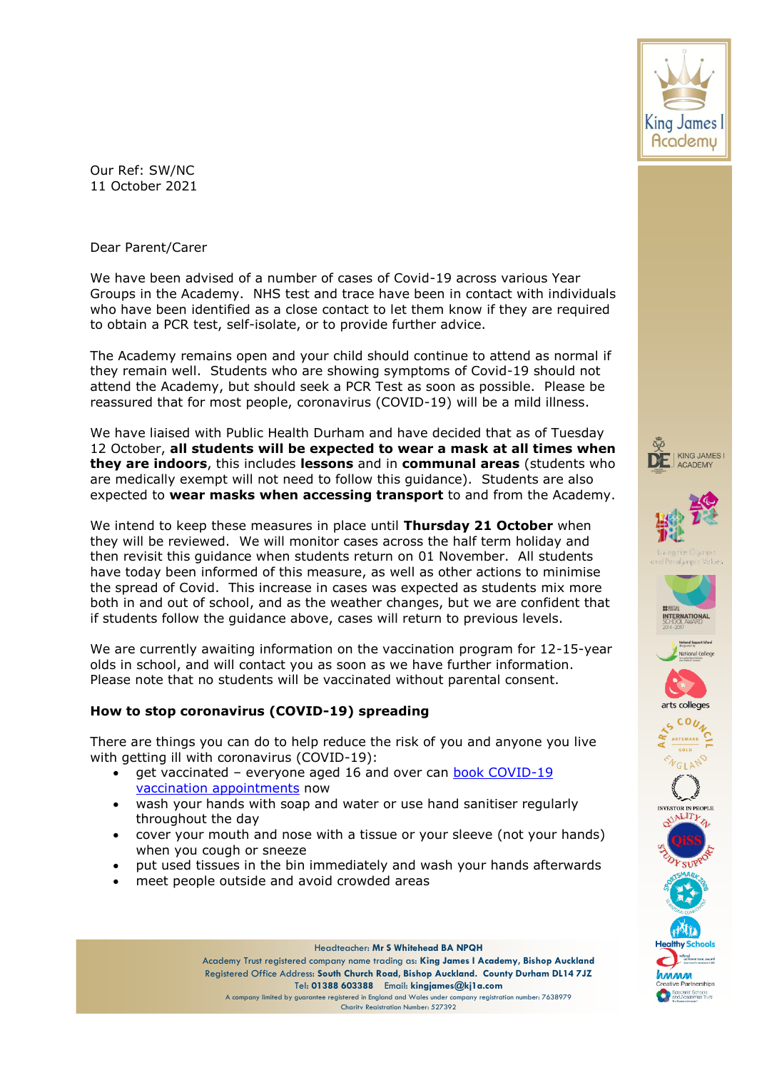

Dear Parent/Carer

We have been advised of a number of cases of Covid-19 across various Year Groups in the Academy. NHS test and trace have been in contact with individuals who have been identified as a close contact to let them know if they are required to obtain a PCR test, self-isolate, or to provide further advice.

The Academy remains open and your child should continue to attend as normal if they remain well. Students who are showing symptoms of Covid-19 should not attend the Academy, but should seek a PCR Test as soon as possible. Please be reassured that for most people, coronavirus (COVID-19) will be a mild illness.

We have liaised with Public Health Durham and have decided that as of Tuesday 12 October, **all students will be expected to wear a mask at all times when they are indoors**, this includes **lessons** and in **communal areas** (students who are medically exempt will not need to follow this guidance). Students are also expected to **wear masks when accessing transport** to and from the Academy.

We intend to keep these measures in place until **Thursday 21 October** when they will be reviewed. We will monitor cases across the half term holiday and then revisit this guidance when students return on 01 November. All students have today been informed of this measure, as well as other actions to minimise the spread of Covid. This increase in cases was expected as students mix more both in and out of school, and as the weather changes, but we are confident that if students follow the guidance above, cases will return to previous levels.

We are currently awaiting information on the vaccination program for 12-15-year olds in school, and will contact you as soon as we have further information. Please note that no students will be vaccinated without parental consent.

## **How to stop coronavirus (COVID-19) spreading**

There are things you can do to help reduce the risk of you and anyone you live with getting ill with coronavirus (COVID-19):

- get vaccinated everyone aged 16 and over can [book COVID-19](https://www.nhs.uk/conditions/coronavirus-covid-19/coronavirus-vaccination/book-coronavirus-vaccination/)  [vaccination appointments](https://www.nhs.uk/conditions/coronavirus-covid-19/coronavirus-vaccination/book-coronavirus-vaccination/) now
- wash your hands with soap and water or use hand sanitiser regularly throughout the day
- cover your mouth and nose with a tissue or your sleeve (not your hands) when you cough or sneeze
- put used tissues in the bin immediately and wash your hands afterwards
- meet people outside and avoid crowded areas

Headteacher: **Mr S Whitehead BA NPQH**

Academy Trust registered company name trading as: **King James I Academy, Bishop Auckland** Registered Office Address: **South Church Road, Bishop Auckland. County Durham DL14 7JZ** Tel: **01388 603388** Email: **kingjames@kj1a.com**

A company limited by guarantee registered in England and Wales under company registration number: 7638979 Charity Registration Number: 527392



















pecialist Schools<br>nd Academies Trus